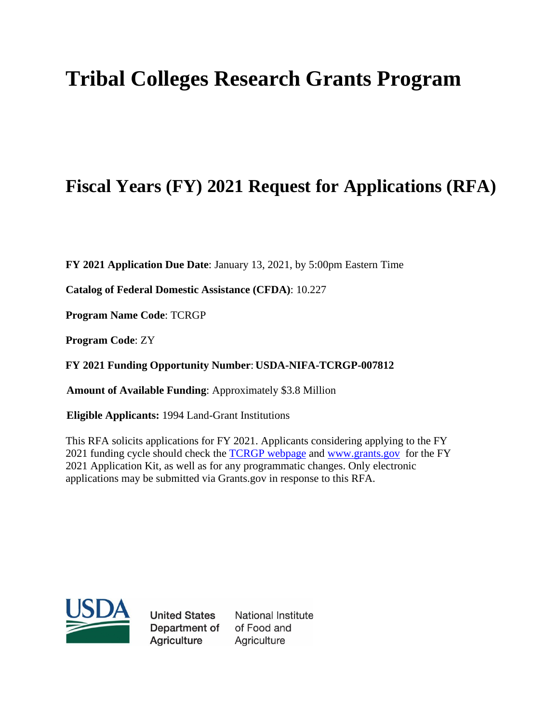# **Tribal Colleges Research Grants Program**

# **Fiscal Years (FY) 2021 Request for Applications (RFA)**

**FY 2021 Application Due Date**: January 13, 2021, by 5:00pm Eastern Time

**Catalog of Federal Domestic Assistance (CFDA)**: 10.227

**Program Name Code**: TCRGP

**Program Code**: ZY

**FY 2021 Funding Opportunity Number**: **USDA-NIFA-TCRGP-007812**

 **Amount of Available Funding**: Approximately \$3.8 Million

**Eligible Applicants:** 1994 Land-Grant Institutions

This RFA solicits applications for FY 2021. Applicants considering applying to the FY 2021 funding cycle should check the [TCRGP webpage](https://www.nifa.usda.gov/funding-opportunity/tribal-colleges-research-grants-program-tcrgp) and [www.grants.gov](http://www.grants.gov/) for the FY 2021 Application Kit, as well as for any programmatic changes. Only electronic applications may be submitted via Grants.gov in response to this RFA.



**United States** Department of **Agriculture** 

National Institute of Food and Agriculture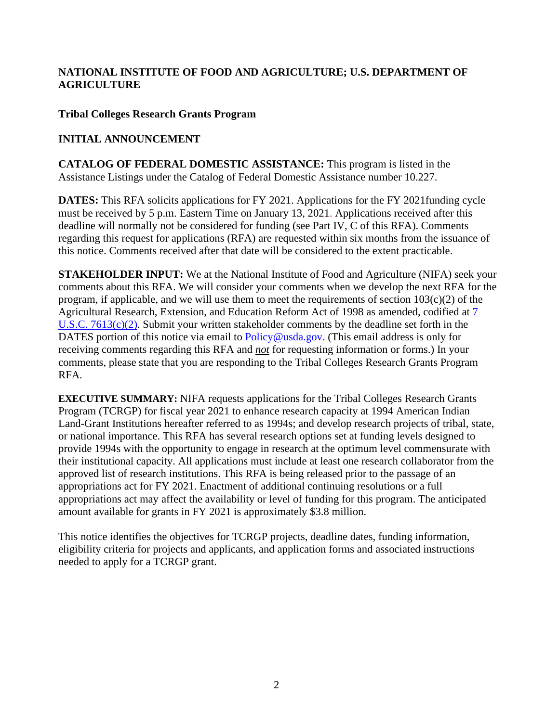#### **NATIONAL INSTITUTE OF FOOD AND AGRICULTURE; U.S. DEPARTMENT OF AGRICULTURE**

#### **Tribal Colleges Research Grants Program**

#### **INITIAL ANNOUNCEMENT**

**CATALOG OF FEDERAL DOMESTIC ASSISTANCE:** This program is listed in the Assistance Listings under the Catalog of Federal Domestic Assistance number 10.227.

**DATES:** This RFA solicits applications for FY 2021. Applications for the FY 2021 funding cycle must be received by 5 p.m. Eastern Time on January 13, 2021. Applications received after this deadline will normally not be considered for funding (see Part IV, C of this RFA). Comments regarding this request for applications (RFA) are requested within six months from the issuance of this notice. Comments received after that date will be considered to the extent practicable.

**STAKEHOLDER INPUT:** We at the National Institute of Food and Agriculture (NIFA) seek your comments about this RFA. We will consider your comments when we develop the next RFA for the program, if applicable, and we will use them to meet the requirements of section  $103(c)(2)$  of the Agricultural Research, Extension, and Education Reform Act of 1998 as amended, codified at [7](https://uscode.house.gov/view.xhtml?req=(title:7%20section:7613%20edition:prelim)%20OR%20(granuleid:USC-prelim-title7-section7613)&f=treesort&edition=prelim&num=0&jumpTo=true)  [U.S.C. 7613\(c\)\(2\).](https://uscode.house.gov/view.xhtml?req=(title:7%20section:7613%20edition:prelim)%20OR%20(granuleid:USC-prelim-title7-section7613)&f=treesort&edition=prelim&num=0&jumpTo=true) Submit your written stakeholder comments by the deadline set forth in the DATES portion of this notice via email to [Policy@usda.gov. \(](mailto:Policy@usda.gov.)This email address is only for receiving comments regarding this RFA and *not* for requesting information or forms.) In your comments, please state that you are responding to the Tribal Colleges Research Grants Program RFA.

**EXECUTIVE SUMMARY:** NIFA requests applications for the Tribal Colleges Research Grants Program (TCRGP) for fiscal year 2021 to enhance research capacity at 1994 American Indian Land-Grant Institutions hereafter referred to as 1994s; and develop research projects of tribal, state, or national importance. This RFA has several research options set at funding levels designed to provide 1994s with the opportunity to engage in research at the optimum level commensurate with their institutional capacity. All applications must include at least one research collaborator from the approved list of research institutions. This RFA is being released prior to the passage of an appropriations act for FY 2021. Enactment of additional continuing resolutions or a full appropriations act may affect the availability or level of funding for this program. The anticipated amount available for grants in FY 2021 is approximately \$3.8 million.

This notice identifies the objectives for TCRGP projects, deadline dates, funding information, eligibility criteria for projects and applicants, and application forms and associated instructions needed to apply for a TCRGP grant.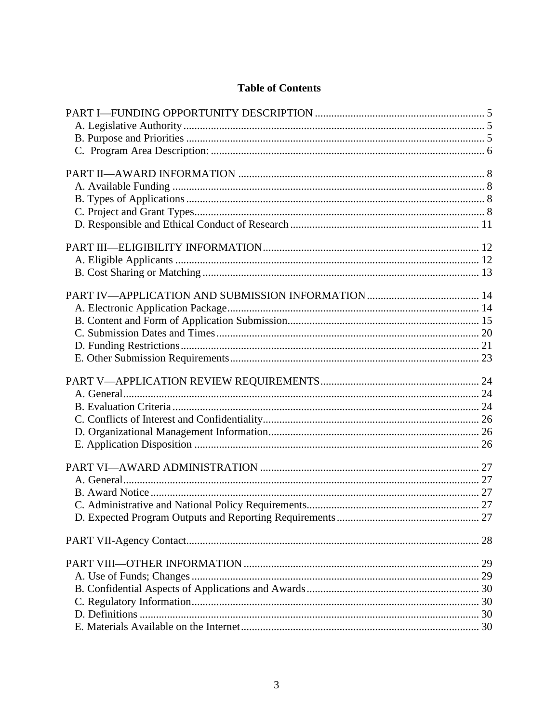# **Table of Contents**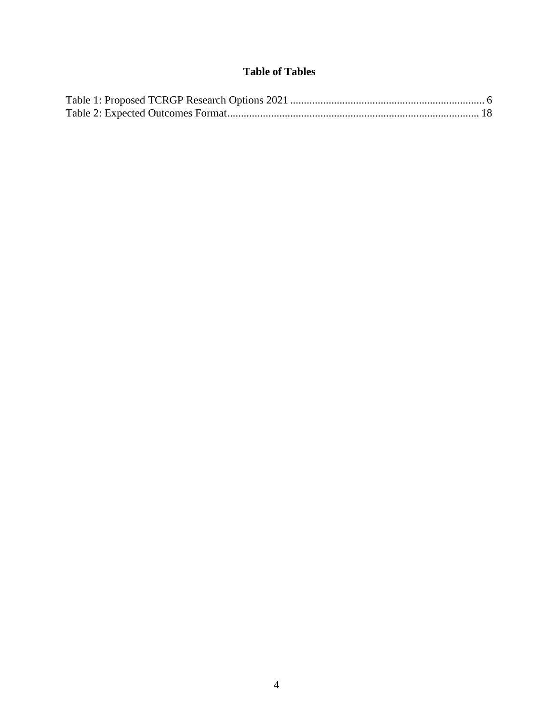# **Table of Tables**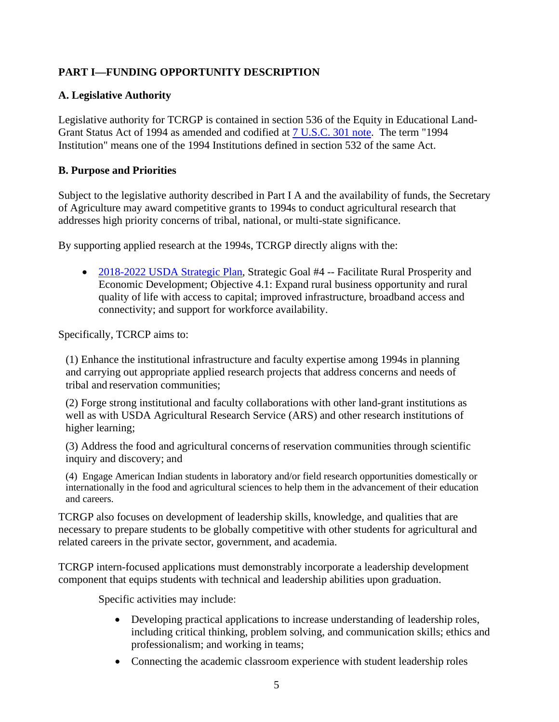# <span id="page-4-0"></span>**PART I—FUNDING OPPORTUNITY DESCRIPTION**

# <span id="page-4-1"></span>**A. Legislative Authority**

Legislative authority for TCRGP is contained in section 536 of the Equity in Educational Land-Grant Status Act of 1994 as amended and codified at [7 U.S.C. 301](https://uscode.house.gov/view.xhtml?req=(title:7%20section:301%20edition:prelim)%20OR%20(granuleid:USC-prelim-title7-section301)&f=treesort&edition=prelim&num=0&jumpTo=true) note. The term "1994 Institution" means one of the 1994 Institutions defined in section 532 of the same Act.

#### <span id="page-4-2"></span>**B. Purpose and Priorities**

Subject to the legislative authority described in Part I A and the availability of funds, the Secretary of Agriculture may award competitive grants to 1994s to conduct agricultural research that addresses high priority concerns of tribal, national, or multi-state significance.

By supporting applied research at the 1994s, TCRGP directly aligns with the:

• [2018-2022 USDA Strategic Plan,](https://www.usda.gov/sites/default/files/documents/usda-strategic-plan-2018-2022.pdf) Strategic Goal #4 -- Facilitate Rural Prosperity and Economic Development; Objective 4.1: Expand rural business opportunity and rural quality of life with access to capital; improved infrastructure, broadband access and connectivity; and support for workforce availability.

Specifically, TCRCP aims to:

(1) Enhance the institutional infrastructure and faculty expertise among 1994s in planning and carrying out appropriate applied research projects that address concerns and needs of tribal and reservation communities;

(2) Forge strong institutional and faculty collaborations with other land-grant institutions as well as with USDA Agricultural Research Service (ARS) and other research institutions of higher learning;

(3) Address the food and agricultural concerns of reservation communities through scientific inquiry and discovery; and

(4) Engage American Indian students in laboratory and/or field research opportunities domestically or internationally in the food and agricultural sciences to help them in the advancement of their education and careers.

TCRGP also focuses on development of leadership skills, knowledge, and qualities that are necessary to prepare students to be globally competitive with other students for agricultural and related careers in the private sector, government, and academia.

TCRGP intern-focused applications must demonstrably incorporate a leadership development component that equips students with technical and leadership abilities upon graduation.

Specific activities may include:

- Developing practical applications to increase understanding of leadership roles, including critical thinking, problem solving, and communication skills; ethics and professionalism; and working in teams;
- Connecting the academic classroom experience with student leadership roles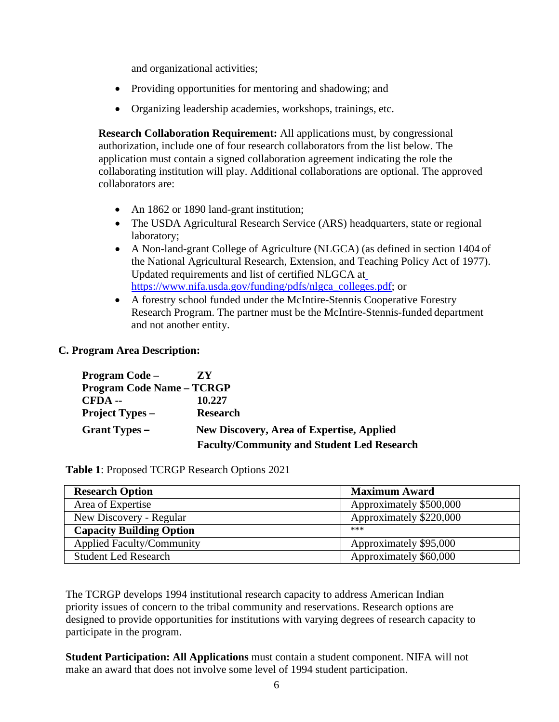and organizational activities;

- Providing opportunities for mentoring and shadowing; and
- Organizing leadership academies, workshops, trainings, etc.

**Research Collaboration Requirement:** All applications must, by congressional authorization, include one of four research collaborators from the list below. The application must contain a signed collaboration agreement indicating the role the collaborating institution will play. Additional collaborations are optional. The approved collaborators are:

- An 1862 or 1890 land-grant institution;
- The USDA Agricultural Research Service (ARS) headquarters, state or regional laboratory;
- A Non-land-grant College of Agriculture (NLGCA) (as defined in section 1404 of the National Agricultural Research, Extension, and Teaching Policy Act of 1977). Updated requirements and list of certified NLGCA at [https://www.nifa.usda.gov/funding/pdfs/nlgca\\_colleges.pdf;](https://www.nifa.usda.gov/funding/pdfs/nlgca_colleges.pdf) or
- <span id="page-5-1"></span>• A forestry school funded under the McIntire-Stennis Cooperative Forestry Research Program. The partner must be the McIntire-Stennis-funded department and not another entity.

#### <span id="page-5-0"></span>**C. Program Area Description:**

| <b>Program Code</b> –            | ZY                                                |  |
|----------------------------------|---------------------------------------------------|--|
| <b>Program Code Name - TCRGP</b> |                                                   |  |
| CFDA --                          | 10.227                                            |  |
| <b>Project Types –</b>           | <b>Research</b>                                   |  |
| Grant Types –                    | <b>New Discovery, Area of Expertise, Applied</b>  |  |
|                                  | <b>Faculty/Community and Student Led Research</b> |  |

**Table 1**: Proposed TCRGP Research Options 2021

| <b>Research Option</b>           | <b>Maximum Award</b>    |
|----------------------------------|-------------------------|
| Area of Expertise                | Approximately \$500,000 |
| New Discovery - Regular          | Approximately \$220,000 |
| <b>Capacity Building Option</b>  | ***                     |
| <b>Applied Faculty/Community</b> | Approximately \$95,000  |
| <b>Student Led Research</b>      | Approximately \$60,000  |

The TCRGP develops 1994 institutional research capacity to address American Indian priority issues of concern to the tribal community and reservations. Research options are designed to provide opportunities for institutions with varying degrees of research capacity to participate in the program.

**Student Participation: All Applications** must contain a student component. NIFA will not make an award that does not involve some level of 1994 student participation.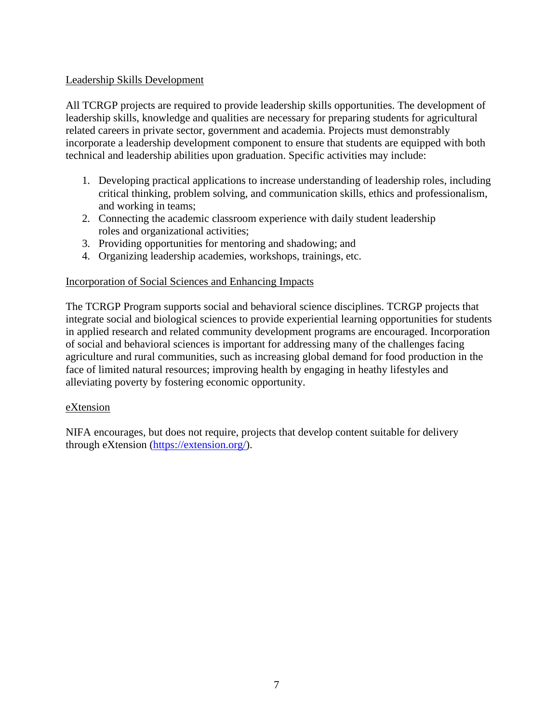#### Leadership Skills Development

All TCRGP projects are required to provide leadership skills opportunities. The development of leadership skills, knowledge and qualities are necessary for preparing students for agricultural related careers in private sector, government and academia. Projects must demonstrably incorporate a leadership development component to ensure that students are equipped with both technical and leadership abilities upon graduation. Specific activities may include:

- 1. Developing practical applications to increase understanding of leadership roles, including critical thinking, problem solving, and communication skills, ethics and professionalism, and working in teams;
- 2. Connecting the academic classroom experience with daily student leadership roles and organizational activities;
- 3. Providing opportunities for mentoring and shadowing; and
- 4. Organizing leadership academies, workshops, trainings, etc.

#### Incorporation of Social Sciences and Enhancing Impacts

The TCRGP Program supports social and behavioral science disciplines. TCRGP projects that integrate social and biological sciences to provide experiential learning opportunities for students in applied research and related community development programs are encouraged. Incorporation of social and behavioral sciences is important for addressing many of the challenges facing agriculture and rural communities, such as increasing global demand for food production in the face of limited natural resources; improving health by engaging in heathy lifestyles and alleviating poverty by fostering economic opportunity.

#### eXtension

NIFA encourages, but does not require, projects that develop content suitable for delivery through eXtension [\(https://extension.org/\)](https://extension.org/).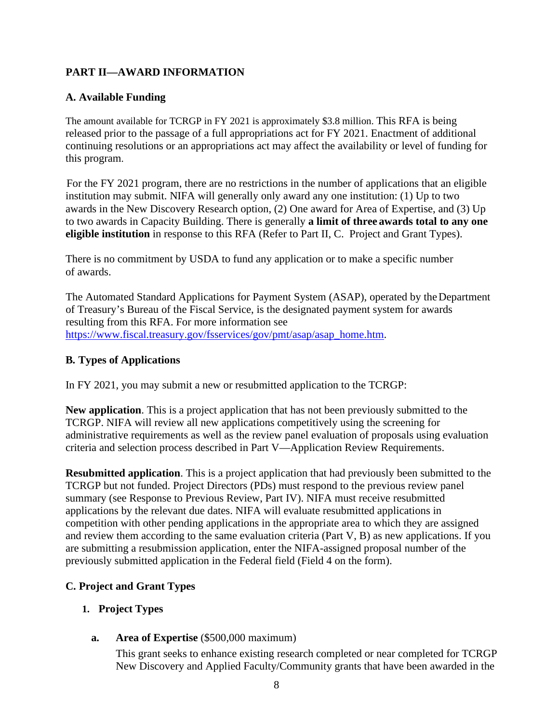# <span id="page-7-0"></span>**PART II—AWARD INFORMATION**

#### <span id="page-7-1"></span>**A. Available Funding**

The amount available for TCRGP in FY 2021 is approximately \$3.8 million. This RFA is being released prior to the passage of a full appropriations act for FY 2021. Enactment of additional continuing resolutions or an appropriations act may affect the availability or level of funding for this program.

For the FY 2021 program, there are no restrictions in the number of applications that an eligible institution may submit. NIFA will generally only award any one institution: (1) Up to two awards in the New Discovery Research option, (2) One award for Area of Expertise, and (3) Up to two awards in Capacity Building. There is generally **a limit of three awards total to any one eligible institution** in response to this RFA (Refer to Part II, C. Project and Grant Types).

There is no commitment by USDA to fund any application or to make a specific number of awards.

The Automated Standard Applications for Payment System (ASAP), operated by the Department of Treasury's Bureau of the Fiscal Service, is the designated payment system for awards resulting from this RFA. For more information see [https://www.fiscal.treasury.gov/fsservices/gov/pmt/asap/asap\\_home.htm.](https://www.fiscal.treasury.gov/fsservices/gov/pmt/asap/asap_home.htm)

#### <span id="page-7-2"></span>**B. Types of Applications**

In FY 2021, you may submit a new or resubmitted application to the TCRGP:

**New application**. This is a project application that has not been previously submitted to the TCRGP. NIFA will review all new applications competitively using the screening for administrative requirements as well as the review panel evaluation of proposals using evaluation criteria and selection process described in Part V—Application Review Requirements.

**Resubmitted application**. This is a project application that had previously been submitted to the TCRGP but not funded. Project Directors (PDs) must respond to the previous review panel summary (see Response to Previous Review, Part IV). NIFA must receive resubmitted applications by the relevant due dates. NIFA will evaluate resubmitted applications in competition with other pending applications in the appropriate area to which they are assigned and review them according to the same evaluation criteria (Part V, B) as new applications. If you are submitting a resubmission application, enter the NIFA-assigned proposal number of the previously submitted application in the Federal field (Field 4 on the form).

#### <span id="page-7-3"></span>**C. Project and Grant Types**

#### **1. Project Types**

**a. Area of Expertise** (\$500,000 maximum)

This grant seeks to enhance existing research completed or near completed for TCRGP New Discovery and Applied Faculty/Community grants that have been awarded in the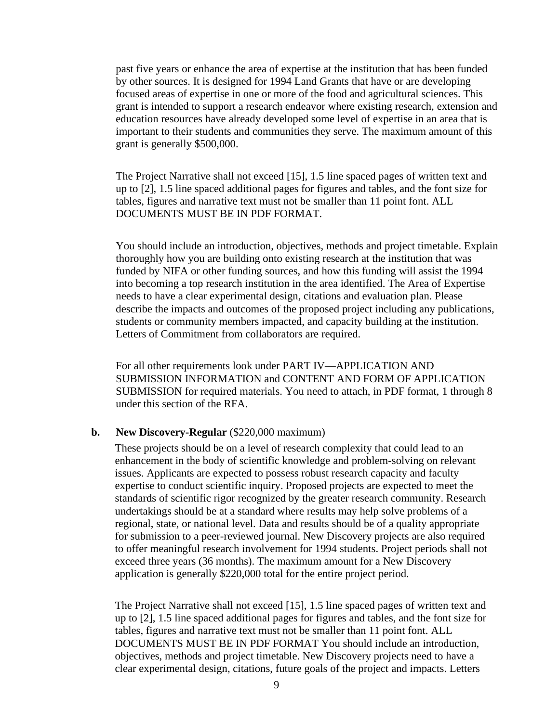past five years or enhance the area of expertise at the institution that has been funded by other sources. It is designed for 1994 Land Grants that have or are developing focused areas of expertise in one or more of the food and agricultural sciences. This grant is intended to support a research endeavor where existing research, extension and education resources have already developed some level of expertise in an area that is important to their students and communities they serve. The maximum amount of this grant is generally \$500,000.

The Project Narrative shall not exceed [15], 1.5 line spaced pages of written text and up to [2], 1.5 line spaced additional pages for figures and tables, and the font size for tables, figures and narrative text must not be smaller than 11 point font. ALL DOCUMENTS MUST BE IN PDF FORMAT.

You should include an introduction, objectives, methods and project timetable. Explain thoroughly how you are building onto existing research at the institution that was funded by NIFA or other funding sources, and how this funding will assist the 1994 into becoming a top research institution in the area identified. The Area of Expertise needs to have a clear experimental design, citations and evaluation plan. Please describe the impacts and outcomes of the proposed project including any publications, students or community members impacted, and capacity building at the institution. Letters of Commitment from collaborators are required.

For all other requirements look under PART IV—APPLICATION AND SUBMISSION INFORMATION and CONTENT AND FORM OF APPLICATION SUBMISSION for required materials. You need to attach, in PDF format, 1 through 8 under this section of the RFA.

#### **b. New Discovery-Regular** (\$220,000 maximum)

These projects should be on a level of research complexity that could lead to an enhancement in the body of scientific knowledge and problem-solving on relevant issues. Applicants are expected to possess robust research capacity and faculty expertise to conduct scientific inquiry. Proposed projects are expected to meet the standards of scientific rigor recognized by the greater research community. Research undertakings should be at a standard where results may help solve problems of a regional, state, or national level. Data and results should be of a quality appropriate for submission to a peer-reviewed journal. New Discovery projects are also required to offer meaningful research involvement for 1994 students. Project periods shall not exceed three years (36 months). The maximum amount for a New Discovery application is generally \$220,000 total for the entire project period.

The Project Narrative shall not exceed [15], 1.5 line spaced pages of written text and up to [2], 1.5 line spaced additional pages for figures and tables, and the font size for tables, figures and narrative text must not be smaller than 11 point font. ALL DOCUMENTS MUST BE IN PDF FORMAT You should include an introduction, objectives, methods and project timetable. New Discovery projects need to have a clear experimental design, citations, future goals of the project and impacts. Letters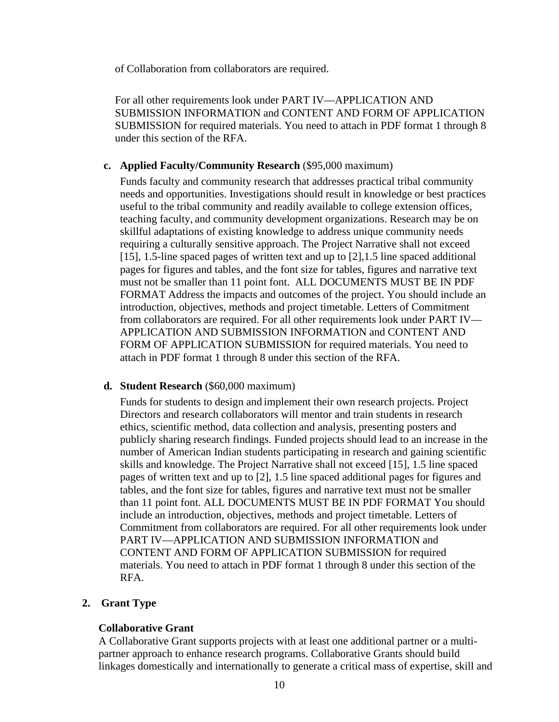of Collaboration from collaborators are required.

For all other requirements look under PART IV—APPLICATION AND SUBMISSION INFORMATION and CONTENT AND FORM OF APPLICATION SUBMISSION for required materials. You need to attach in PDF format 1 through 8 under this section of the RFA.

#### **c. Applied Faculty/Community Research** (\$95,000 maximum)

Funds faculty and community research that addresses practical tribal community needs and opportunities. Investigations should result in knowledge or best practices useful to the tribal community and readily available to college extension offices, teaching faculty, and community development organizations. Research may be on skillful adaptations of existing knowledge to address unique community needs requiring a culturally sensitive approach. The Project Narrative shall not exceed [15], 1.5-line spaced pages of written text and up to [2],1.5 line spaced additional pages for figures and tables, and the font size for tables, figures and narrative text must not be smaller than 11 point font. ALL DOCUMENTS MUST BE IN PDF FORMAT Address the impacts and outcomes of the project. You should include an introduction, objectives, methods and project timetable. Letters of Commitment from collaborators are required. For all other requirements look under PART IV— APPLICATION AND SUBMISSION INFORMATION and CONTENT AND FORM OF APPLICATION SUBMISSION for required materials. You need to attach in PDF format 1 through 8 under this section of the RFA.

#### **d. Student Research** (\$60,000 maximum)

Funds for students to design and implement their own research projects. Project Directors and research collaborators will mentor and train students in research ethics, scientific method, data collection and analysis, presenting posters and publicly sharing research findings. Funded projects should lead to an increase in the number of American Indian students participating in research and gaining scientific skills and knowledge. The Project Narrative shall not exceed [15], 1.5 line spaced pages of written text and up to [2], 1.5 line spaced additional pages for figures and tables, and the font size for tables, figures and narrative text must not be smaller than 11 point font. ALL DOCUMENTS MUST BE IN PDF FORMAT You should include an introduction, objectives, methods and project timetable. Letters of Commitment from collaborators are required. For all other requirements look under PART IV—APPLICATION AND SUBMISSION INFORMATION and CONTENT AND FORM OF APPLICATION SUBMISSION for required materials. You need to attach in PDF format 1 through 8 under this section of the RFA.

#### **2. Grant Type**

#### **Collaborative Grant**

A Collaborative Grant supports projects with at least one additional partner or a multipartner approach to enhance research programs. Collaborative Grants should build linkages domestically and internationally to generate a critical mass of expertise, skill and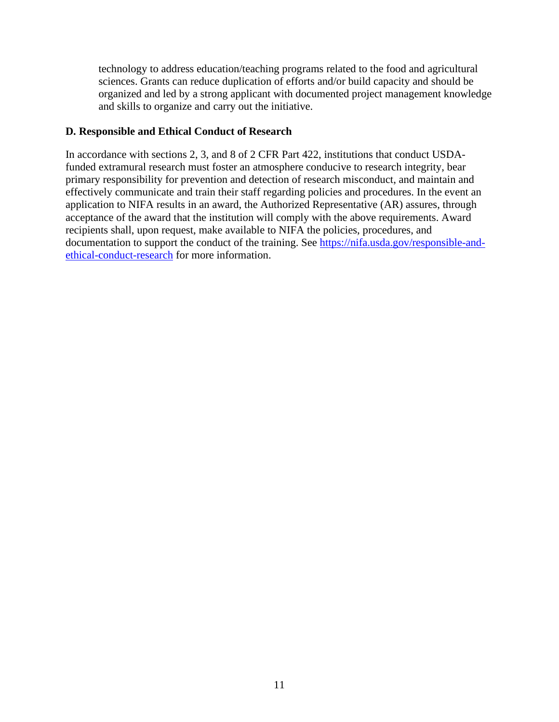technology to address education/teaching programs related to the food and agricultural sciences. Grants can reduce duplication of efforts and/or build capacity and should be organized and led by a strong applicant with documented project management knowledge and skills to organize and carry out the initiative.

#### <span id="page-10-0"></span>**D. Responsible and Ethical Conduct of Research**

In accordance with sections 2, 3, and 8 of 2 CFR Part 422, institutions that conduct USDAfunded extramural research must foster an atmosphere conducive to research integrity, bear primary responsibility for prevention and detection of research misconduct, and maintain and effectively communicate and train their staff regarding policies and procedures. In the event an application to NIFA results in an award, the Authorized Representative (AR) assures, through acceptance of the award that the institution will comply with the above requirements. Award recipients shall, upon request, make available to NIFA the policies, procedures, and documentation to support the conduct of the training. See [https://nifa.usda.gov/responsible-and](https://nifa.usda.gov/responsible-and-ethical-conduct-research)[ethical-conduct-research](https://nifa.usda.gov/responsible-and-ethical-conduct-research) for more information.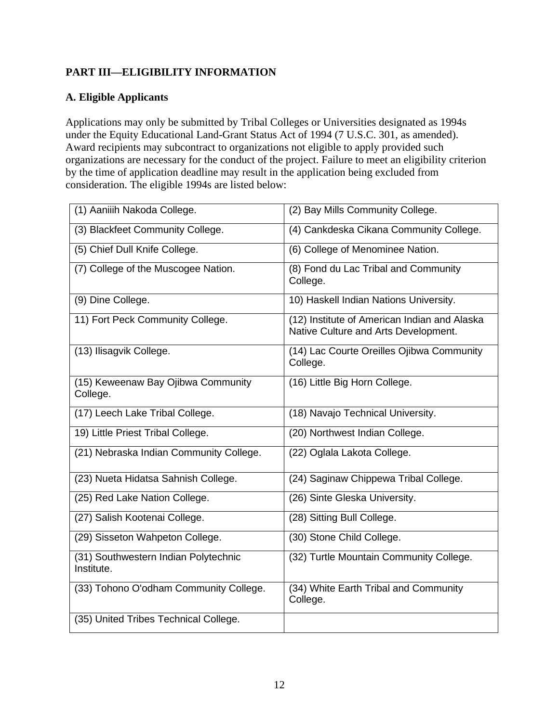# <span id="page-11-0"></span>**PART III—ELIGIBILITY INFORMATION**

#### <span id="page-11-1"></span>**A. Eligible Applicants**

Applications may only be submitted by Tribal Colleges or Universities designated as 1994s under the Equity Educational Land-Grant Status Act of 1994 (7 U.S.C. 301, as amended). Award recipients may subcontract to organizations not eligible to apply provided such organizations are necessary for the conduct of the project. Failure to meet an eligibility criterion by the time of application deadline may result in the application being excluded from consideration. The eligible 1994s are listed below:

| (1) Aaniiih Nakoda College.                        | (2) Bay Mills Community College.                                                     |
|----------------------------------------------------|--------------------------------------------------------------------------------------|
| (3) Blackfeet Community College.                   | (4) Cankdeska Cikana Community College.                                              |
| (5) Chief Dull Knife College.                      | (6) College of Menominee Nation.                                                     |
| (7) College of the Muscogee Nation.                | (8) Fond du Lac Tribal and Community<br>College.                                     |
| (9) Dine College.                                  | 10) Haskell Indian Nations University.                                               |
| 11) Fort Peck Community College.                   | (12) Institute of American Indian and Alaska<br>Native Culture and Arts Development. |
| (13) Ilisagvik College.                            | (14) Lac Courte Oreilles Ojibwa Community<br>College.                                |
| (15) Keweenaw Bay Ojibwa Community<br>College.     | (16) Little Big Horn College.                                                        |
| (17) Leech Lake Tribal College.                    | (18) Navajo Technical University.                                                    |
| 19) Little Priest Tribal College.                  | (20) Northwest Indian College.                                                       |
| (21) Nebraska Indian Community College.            | (22) Oglala Lakota College.                                                          |
| (23) Nueta Hidatsa Sahnish College.                | (24) Saginaw Chippewa Tribal College.                                                |
| (25) Red Lake Nation College.                      | (26) Sinte Gleska University.                                                        |
| (27) Salish Kootenai College.                      | (28) Sitting Bull College.                                                           |
| (29) Sisseton Wahpeton College.                    | (30) Stone Child College.                                                            |
| (31) Southwestern Indian Polytechnic<br>Institute. | (32) Turtle Mountain Community College.                                              |
| (33) Tohono O'odham Community College.             | (34) White Earth Tribal and Community<br>College.                                    |
| (35) United Tribes Technical College.              |                                                                                      |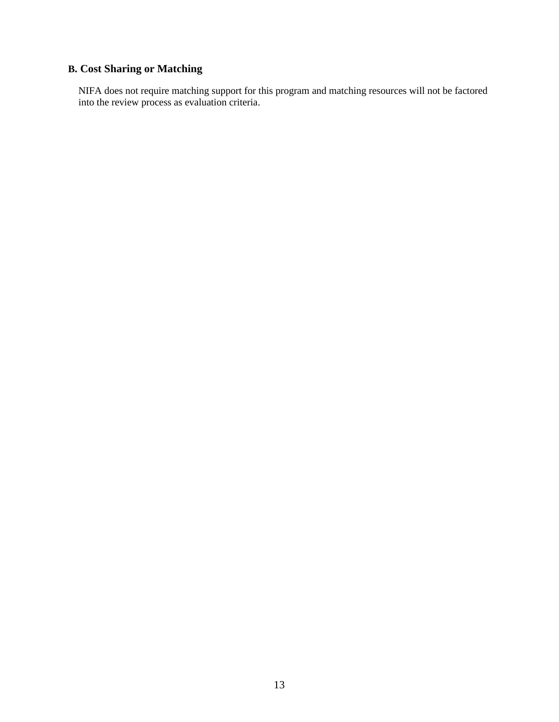# <span id="page-12-0"></span>**B. Cost Sharing or Matching**

NIFA does not require matching support for this program and matching resources will not be factored into the review process as evaluation criteria.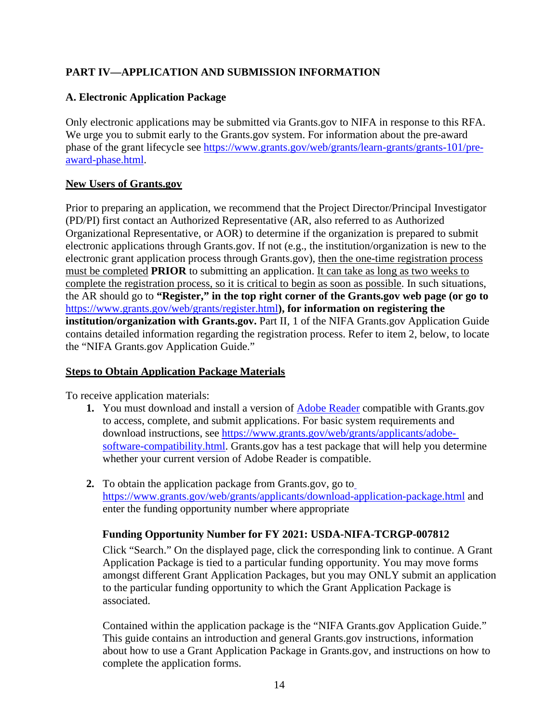# <span id="page-13-0"></span>**PART IV—APPLICATION AND SUBMISSION INFORMATION**

# <span id="page-13-1"></span>**A. Electronic Application Package**

Only electronic applications may be submitted via Grants.gov to NIFA in response to this RFA. We urge you to submit early to the Grants.gov system. For information about the pre-award phase of the grant lifecycle see [https://www.grants.gov/web/grants/learn-grants/grants-101/pre](https://www.grants.gov/web/grants/learn-grants/grants-101/pre-award-phase.html)[award-phase.html.](https://www.grants.gov/web/grants/learn-grants/grants-101/pre-award-phase.html)

#### **New Users of Grants.gov**

Prior to preparing an application, we recommend that the Project Director/Principal Investigator (PD/PI) first contact an Authorized Representative (AR, also referred to as Authorized Organizational Representative, or AOR) to determine if the organization is prepared to submit electronic applications through Grants.gov. If not (e.g., the institution/organization is new to the electronic grant application process through Grants.gov), then the one-time registration process must be completed **PRIOR** to submitting an application. It can take as long as two weeks to complete the registration process, so it is critical to begin as soon as possible. In such situations, the AR should go to **"Register," in the top right corner of the Grants.gov web page (or go to**  <https://www.grants.gov/web/grants/register.html>**), for information on registering the institution/organization with Grants.gov.** Part II, 1 of the NIFA Grants.gov Application Guide contains detailed information regarding the registration process. Refer to item 2, below, to locate the "NIFA Grants.gov Application Guide."

#### **Steps to Obtain Application Package Materials**

To receive application materials:

- **1.** You must download and install a version of **[Adobe Reader](https://get.adobe.com/reader/)** compatible with Grants.gov to access, complete, and submit applications. For basic system requirements and download instructions, see [https://www.grants.gov/web/grants/applicants/adobe](https://www.grants.gov/web/grants/applicants/adobe-software-compatibility.html)[software-compatibility.html.](https://www.grants.gov/web/grants/applicants/adobe-software-compatibility.html) Grants.gov has a test package that will help you determine whether your current version of Adobe Reader is compatible.
- **2.** To obtain the application package from Grants.gov, go to <https://www.grants.gov/web/grants/applicants/download-application-package.html> and enter the funding opportunity number where appropriate

#### **Funding Opportunity Number for FY 2021: USDA-NIFA-TCRGP-007812**

Click "Search." On the displayed page, click the corresponding link to continue. A Grant Application Package is tied to a particular funding opportunity. You may move forms amongst different Grant Application Packages, but you may ONLY submit an application to the particular funding opportunity to which the Grant Application Package is associated.

Contained within the application package is the "NIFA Grants.gov Application Guide." This guide contains an introduction and general Grants.gov instructions, information about how to use a Grant Application Package in Grants.gov, and instructions on how to complete the application forms.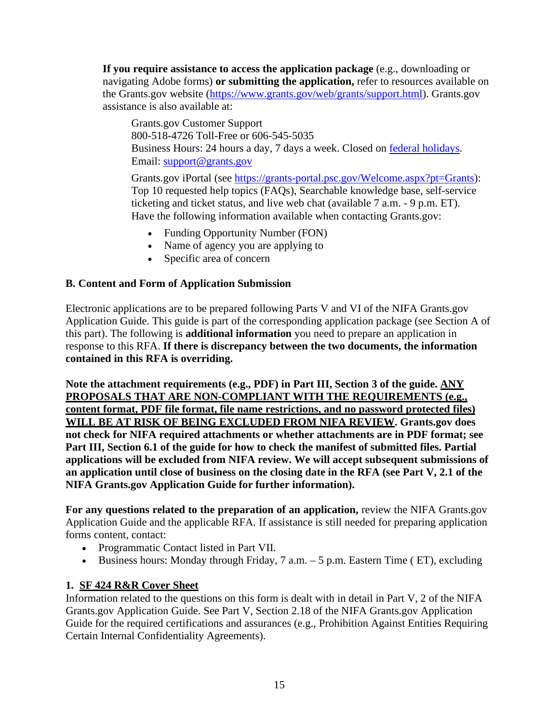**If you require assistance to access the application package** (e.g., downloading or navigating Adobe forms) **or submitting the application,** refer to resources available on the Grants.gov website [\(https://www.grants.gov/web/grants/support.html\)](https://www.grants.gov/web/grants/support.html). Grants.gov assistance is also available at:

Grants.gov Customer Support 800-518-4726 Toll-Free or 606-545-5035 Business Hours: 24 hours a day, 7 days a week. Closed on [federal holidays.](http://www.opm.gov/policy-data-oversight/snow-dismissal-procedures/federal-holidays/) Email: [support@grants.gov](mailto:support@grants.gov)

Grants.gov iPortal (see [https://grants-portal.psc.gov/Welcome.aspx?pt=Grants\)](https://grants-portal.psc.gov/Welcome.aspx?pt=Grants): Top 10 requested help topics (FAQs), Searchable knowledge base, self-service ticketing and ticket status, and live web chat (available 7 a.m. - 9 p.m. ET). Have the following information available when contacting Grants.gov:

- Funding Opportunity Number (FON)
- Name of agency you are applying to
- Specific area of concern

#### <span id="page-14-0"></span>**B. Content and Form of Application Submission**

Electronic applications are to be prepared following Parts V and VI of the NIFA Grants.gov Application Guide. This guide is part of the corresponding application package (see Section A of this part). The following is **additional information** you need to prepare an application in response to this RFA. **If there is discrepancy between the two documents, the information contained in this RFA is overriding.**

**Note the attachment requirements (e.g., PDF) in Part III, Section 3 of the guide. ANY PROPOSALS THAT ARE NON-COMPLIANT WITH THE REQUIREMENTS (e.g., content format, PDF file format, file name restrictions, and no password protected files) WILL BE AT RISK OF BEING EXCLUDED FROM NIFA REVIEW. Grants.gov does not check for NIFA required attachments or whether attachments are in PDF format; see Part III, Section 6.1 of the guide for how to check the manifest of submitted files. Partial applications will be excluded from NIFA review. We will accept subsequent submissions of an application until close of business on the closing date in the RFA (see Part V, 2.1 of the NIFA Grants.gov Application Guide for further information).**

**For any questions related to the preparation of an application,** review the NIFA Grants.gov Application Guide and the applicable RFA. If assistance is still needed for preparing application forms content, contact:

- Programmatic Contact listed in Part VII.
- Business hours: Monday through Friday,  $7$  a.m.  $-5$  p.m. Eastern Time (ET), excluding

# **1. SF 424 R&R Cover Sheet**

Information related to the questions on this form is dealt with in detail in Part V, 2 of the NIFA Grants.gov Application Guide. See Part V, Section 2.18 of the NIFA Grants.gov Application Guide for the required certifications and assurances (e.g., Prohibition Against Entities Requiring Certain Internal Confidentiality Agreements).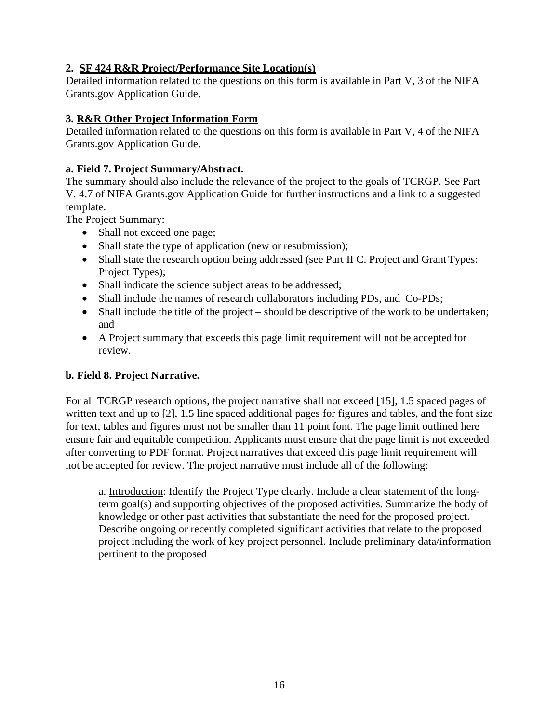#### **2. SF 424 R&R Project/Performance Site Location(s)**

Detailed information related to the questions on this form is available in Part V, 3 of the NIFA Grants.gov Application Guide.

#### **3. R&R Other Project Information Form**

Detailed information related to the questions on this form is available in Part V, 4 of the NIFA Grants.gov Application Guide.

#### **a. Field 7. Project Summary/Abstract.**

The summary should also include the relevance of the project to the goals of TCRGP. See Part V. 4.7 of NIFA Grants.gov Application Guide for further instructions and a link to a suggested template.

The Project Summary:

- Shall not exceed one page;
- Shall state the type of application (new or resubmission);
- Shall state the research option being addressed (see Part II C. Project and Grant Types: Project Types);
- Shall indicate the science subject areas to be addressed;
- Shall include the names of research collaborators including PDs, and Co-PDs;
- Shall include the title of the project should be descriptive of the work to be undertaken; and
- A Project summary that exceeds this page limit requirement will not be accepted for review.

# **b. Field 8. Project Narrative.**

For all TCRGP research options, the project narrative shall not exceed [15], 1.5 spaced pages of written text and up to [2], 1.5 line spaced additional pages for figures and tables, and the font size for text, tables and figures must not be smaller than 11 point font. The page limit outlined here ensure fair and equitable competition. Applicants must ensure that the page limit is not exceeded after converting to PDF format. Project narratives that exceed this page limit requirement will not be accepted for review. The project narrative must include all of the following:

a. Introduction: Identify the Project Type clearly. Include a clear statement of the longterm goal(s) and supporting objectives of the proposed activities. Summarize the body of knowledge or other past activities that substantiate the need for the proposed project. Describe ongoing or recently completed significant activities that relate to the proposed project including the work of key project personnel. Include preliminary data/information pertinent to the proposed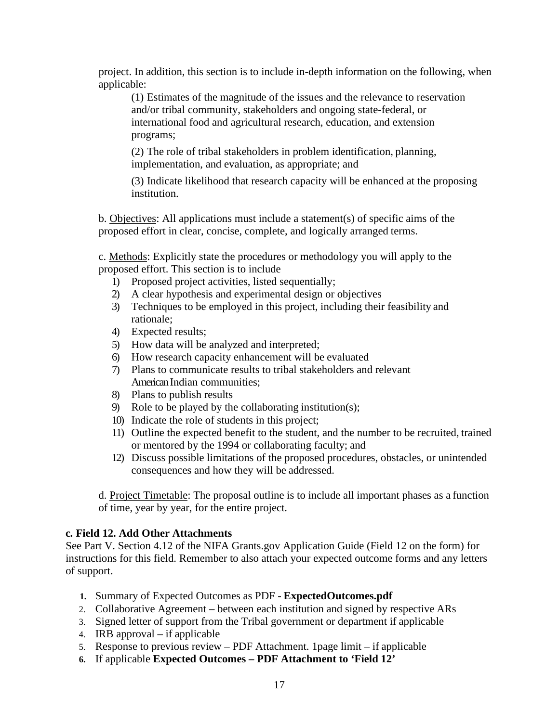project. In addition, this section is to include in-depth information on the following, when applicable:

(1) Estimates of the magnitude of the issues and the relevance to reservation and/or tribal community, stakeholders and ongoing state-federal, or international food and agricultural research, education, and extension programs;

(2) The role of tribal stakeholders in problem identification, planning, implementation, and evaluation, as appropriate; and

(3) Indicate likelihood that research capacity will be enhanced at the proposing institution.

b. Objectives: All applications must include a statement(s) of specific aims of the proposed effort in clear, concise, complete, and logically arranged terms.

c. Methods: Explicitly state the procedures or methodology you will apply to the proposed effort. This section is to include

- 1) Proposed project activities, listed sequentially;
- 2) A clear hypothesis and experimental design or objectives
- 3) Techniques to be employed in this project, including their feasibility and rationale;
- 4) Expected results;
- 5) How data will be analyzed and interpreted;
- 6) How research capacity enhancement will be evaluated
- 7) Plans to communicate results to tribal stakeholders and relevant American Indian communities;
- 8) Plans to publish results
- 9) Role to be played by the collaborating institution(s);
- 10) Indicate the role of students in this project;
- 11) Outline the expected benefit to the student, and the number to be recruited, trained or mentored by the 1994 or collaborating faculty; and
- 12) Discuss possible limitations of the proposed procedures, obstacles, or unintended consequences and how they will be addressed.

d. Project Timetable: The proposal outline is to include all important phases as a function of time, year by year, for the entire project.

#### **c. Field 12. Add Other Attachments**

See Part V. Section 4.12 of the NIFA Grants.gov Application Guide (Field 12 on the form) for instructions for this field. Remember to also attach your expected outcome forms and any letters of support.

- **1.** Summary of Expected Outcomes as PDF **ExpectedOutcomes.pdf**
- 2. Collaborative Agreement between each institution and signed by respective ARs
- 3. Signed letter of support from the Tribal government or department if applicable
- 4. IRB approval if applicable
- 5. Response to previous review PDF Attachment. 1page limit if applicable
- **6.** If applicable **Expected Outcomes – PDF Attachment to 'Field 12'**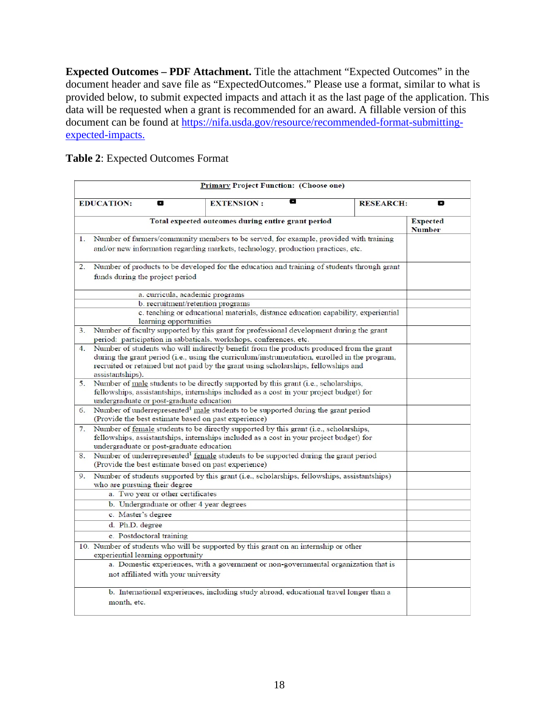**Expected Outcomes – PDF Attachment.** Title the attachment "Expected Outcomes" in the document header and save file as "ExpectedOutcomes." Please use a format, similar to what is provided below, to submit expected impacts and attach it as the last page of the application. This data will be requested when a grant is recommended for an award. A fillable version of this document can be found at [https://nifa.usda.gov/resource/recommended-format-submitting](https://nifa.usda.gov/resource/recommended-format-submitting-expected-impacts)[expected-impacts.](https://nifa.usda.gov/resource/recommended-format-submitting-expected-impacts)

<span id="page-17-0"></span>**Table 2**: Expected Outcomes Format

|                                                    | <b>Primary Project Function: (Choose one)</b>        |                                                                                                                                                                                                                                                                                  |                  |                                  |  |  |
|----------------------------------------------------|------------------------------------------------------|----------------------------------------------------------------------------------------------------------------------------------------------------------------------------------------------------------------------------------------------------------------------------------|------------------|----------------------------------|--|--|
|                                                    | <b>EDUCATION:</b><br>8                               | 8<br><b>EXTENSION:</b>                                                                                                                                                                                                                                                           | <b>RESEARCH:</b> | o                                |  |  |
| Total expected outcomes during entire grant period |                                                      |                                                                                                                                                                                                                                                                                  |                  | <b>Expected</b><br><b>Number</b> |  |  |
| 1.                                                 |                                                      | Number of farmers/community members to be served, for example, provided with training<br>and/or new information regarding markets, technology, production practices, etc.                                                                                                        |                  |                                  |  |  |
| 2.                                                 | funds during the project period                      | Number of products to be developed for the education and training of students through grant                                                                                                                                                                                      |                  |                                  |  |  |
|                                                    |                                                      | a. curricula, academic programs                                                                                                                                                                                                                                                  |                  |                                  |  |  |
|                                                    | learning opportunities                               | b. recruitment/retention programs<br>c. teaching or educational materials, distance education capability, experiential                                                                                                                                                           |                  |                                  |  |  |
| 3.                                                 |                                                      | Number of faculty supported by this grant for professional development during the grant<br>period: participation in sabbaticals, workshops, conferences, etc.                                                                                                                    |                  |                                  |  |  |
| 4.                                                 | assistantships).                                     | Number of students who will indirectly benefit from the products produced from the grant<br>during the grant period (i.e., using the curriculum/instrumentation, enrolled in the program,<br>recruited or retained but not paid by the grant using scholarships, fellowships and |                  |                                  |  |  |
| 5.                                                 | undergraduate or post-graduate education             | Number of male students to be directly supported by this grant (i.e., scholarships,<br>fellowships, assistantships, internships included as a cost in your project budget) for                                                                                                   |                  |                                  |  |  |
| 6.                                                 | (Provide the best estimate based on past experience) | Number of underrepresented <sup>1</sup> male students to be supported during the grant period                                                                                                                                                                                    |                  |                                  |  |  |
| 7.                                                 | undergraduate or post-graduate education             | Number of female students to be directly supported by this grant (i.e., scholarships,<br>fellowships, assistantships, internships included as a cost in your project budget) for                                                                                                 |                  |                                  |  |  |
| 8.                                                 | (Provide the best estimate based on past experience) | Number of underrepresented <sup>1</sup> female students to be supported during the grant period                                                                                                                                                                                  |                  |                                  |  |  |
| 9.                                                 | who are pursuing their degree                        | Number of students supported by this grant (i.e., scholarships, fellowships, assistantships)                                                                                                                                                                                     |                  |                                  |  |  |
|                                                    | a. Two year or other certificates                    |                                                                                                                                                                                                                                                                                  |                  |                                  |  |  |
|                                                    | b. Undergraduate or other 4 year degrees             |                                                                                                                                                                                                                                                                                  |                  |                                  |  |  |
|                                                    | c. Master's degree                                   |                                                                                                                                                                                                                                                                                  |                  |                                  |  |  |
|                                                    | d. Ph.D. degree                                      |                                                                                                                                                                                                                                                                                  |                  |                                  |  |  |
|                                                    | e. Postdoctoral training                             |                                                                                                                                                                                                                                                                                  |                  |                                  |  |  |
|                                                    | experiential learning opportunity                    | 10. Number of students who will be supported by this grant on an internship or other                                                                                                                                                                                             |                  |                                  |  |  |
|                                                    | not affiliated with your university                  | a. Domestic experiences, with a government or non-governmental organization that is                                                                                                                                                                                              |                  |                                  |  |  |
|                                                    | month, etc.                                          | b. International experiences, including study abroad, educational travel longer than a                                                                                                                                                                                           |                  |                                  |  |  |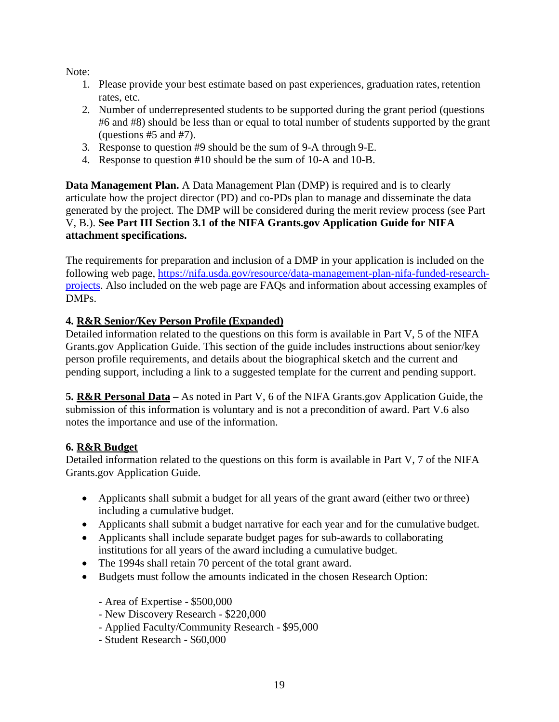Note:

- 1. Please provide your best estimate based on past experiences, graduation rates, retention rates, etc.
- 2. Number of underrepresented students to be supported during the grant period (questions #6 and #8) should be less than or equal to total number of students supported by the grant (questions #5 and #7).
- 3. Response to question #9 should be the sum of 9-A through 9-E.
- 4. Response to question #10 should be the sum of 10-A and 10-B.

**Data Management Plan.** A Data Management Plan (DMP) is required and is to clearly articulate how the project director (PD) and co-PDs plan to manage and disseminate the data generated by the project. The DMP will be considered during the merit review process (see Part V, B.). **See Part III Section 3.1 of the NIFA Grants.gov Application Guide for NIFA attachment specifications.**

The requirements for preparation and inclusion of a DMP in your application is included on the following web page, [https://nifa.usda.gov/resource/data-management-plan-nifa-funded-research](https://nifa.usda.gov/resource/data-management-plan-nifa-funded-research-projects)[projects.](https://nifa.usda.gov/resource/data-management-plan-nifa-funded-research-projects) Also included on the web page are FAQs and information about accessing examples of DMPs.

### **4. R&R Senior/Key Person Profile (Expanded)**

Detailed information related to the questions on this form is available in Part V, 5 of the NIFA Grants.gov Application Guide. This section of the guide includes instructions about senior/key person profile requirements, and details about the biographical sketch and the current and pending support, including a link to a suggested template for the current and pending support.

**5. R&R Personal Data –** As noted in Part V, 6 of the NIFA Grants.gov Application Guide, the submission of this information is voluntary and is not a precondition of award. Part V.6 also notes the importance and use of the information.

#### **6. R&R Budget**

Detailed information related to the questions on this form is available in Part V, 7 of the NIFA Grants.gov Application Guide.

- Applicants shall submit a budget for all years of the grant award (either two or three) including a cumulative budget.
- Applicants shall submit a budget narrative for each year and for the cumulative budget.
- Applicants shall include separate budget pages for sub-awards to collaborating institutions for all years of the award including a cumulative budget.
- The 1994s shall retain 70 percent of the total grant award.
- Budgets must follow the amounts indicated in the chosen Research Option:

- Area of Expertise - \$500,000

- New Discovery Research \$220,000
- Applied Faculty/Community Research \$95,000
- Student Research \$60,000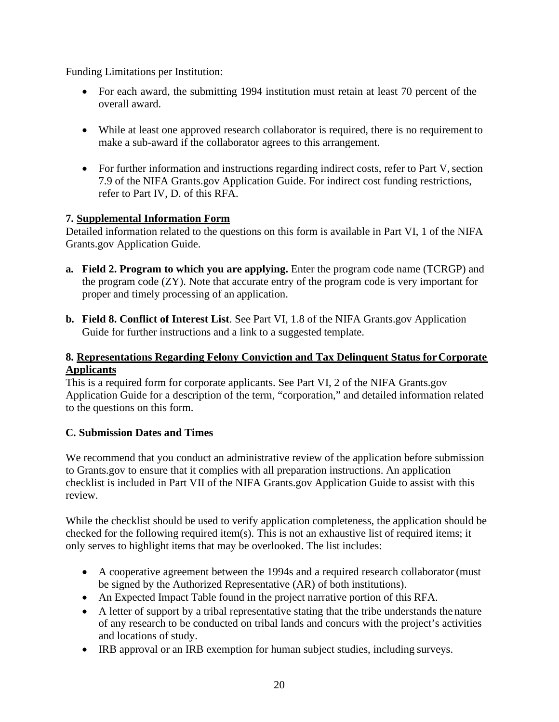Funding Limitations per Institution:

- For each award, the submitting 1994 institution must retain at least 70 percent of the overall award.
- While at least one approved research collaborator is required, there is no requirement to make a sub-award if the collaborator agrees to this arrangement.
- For further information and instructions regarding indirect costs, refer to Part V, section 7.9 of the NIFA Grants.gov Application Guide. For indirect cost funding restrictions, refer to Part IV, D. of this RFA.

# **7. Supplemental Information Form**

Detailed information related to the questions on this form is available in Part VI, 1 of the NIFA Grants.gov Application Guide.

- **a. Field 2. Program to which you are applying.** Enter the program code name (TCRGP) and the program code (ZY). Note that accurate entry of the program code is very important for proper and timely processing of an application.
- **b. Field 8. Conflict of Interest List**. See Part VI, 1.8 of the NIFA Grants.gov Application Guide for further instructions and a link to a suggested template.

#### **8. Representations Regarding Felony Conviction and Tax Delinquent Status forCorporate Applicants**

This is a required form for corporate applicants. See Part VI, 2 of the NIFA Grants.gov Application Guide for a description of the term, "corporation," and detailed information related to the questions on this form.

# <span id="page-19-0"></span>**C. Submission Dates and Times**

We recommend that you conduct an administrative review of the application before submission to Grants.gov to ensure that it complies with all preparation instructions. An application checklist is included in Part VII of the NIFA Grants.gov Application Guide to assist with this review.

While the checklist should be used to verify application completeness, the application should be checked for the following required item(s). This is not an exhaustive list of required items; it only serves to highlight items that may be overlooked. The list includes:

- A cooperative agreement between the 1994s and a required research collaborator (must be signed by the Authorized Representative (AR) of both institutions).
- An Expected Impact Table found in the project narrative portion of this RFA.
- A letter of support by a tribal representative stating that the tribe understands the nature of any research to be conducted on tribal lands and concurs with the project's activities and locations of study.
- IRB approval or an IRB exemption for human subject studies, including surveys.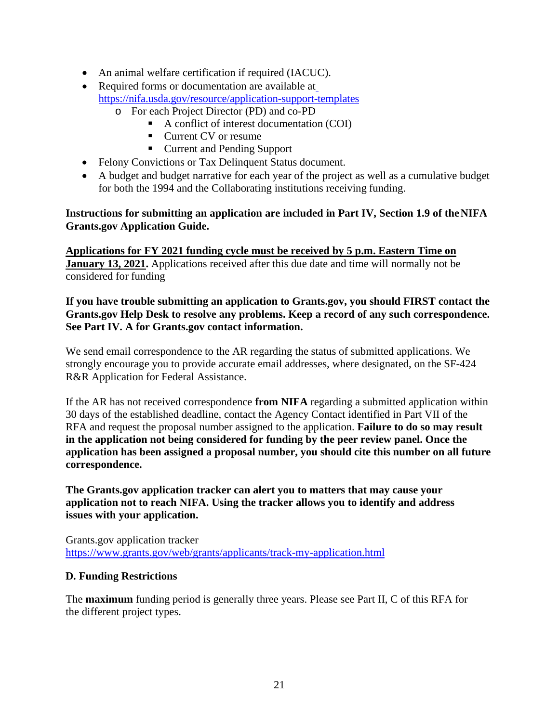- An animal welfare certification if required (IACUC).
- Required forms or documentation are available at <https://nifa.usda.gov/resource/application-support-templates>
	- o For each Project Director (PD) and co-PD
		- A conflict of interest documentation (COI)
		- Current CV or resume
		- Current and Pending Support
- Felony Convictions or Tax Delinquent Status document.
- A budget and budget narrative for each year of the project as well as a cumulative budget for both the 1994 and the Collaborating institutions receiving funding.

#### **Instructions for submitting an application are included in Part IV, Section 1.9 of theNIFA Grants.gov Application Guide.**

**Applications for FY 2021 funding cycle must be received by 5 p.m. Eastern Time on January 13, 2021.** Applications received after this due date and time will normally not be considered for funding

#### **If you have trouble submitting an application to Grants.gov, you should FIRST contact the Grants.gov Help Desk to resolve any problems. Keep a record of any such correspondence. See Part IV. A for Grants.gov contact information.**

We send email correspondence to the AR regarding the status of submitted applications. We strongly encourage you to provide accurate email addresses, where designated, on the SF-424 R&R Application for Federal Assistance.

If the AR has not received correspondence **from NIFA** regarding a submitted application within 30 days of the established deadline, contact the Agency Contact identified in Part VII of the RFA and request the proposal number assigned to the application. **Failure to do so may result in the application not being considered for funding by the peer review panel. Once the application has been assigned a proposal number, you should cite this number on all future correspondence.**

**The Grants.gov application tracker can alert you to matters that may cause your application not to reach NIFA. Using the tracker allows you to identify and address issues with your application.**

Grants.gov application tracker <https://www.grants.gov/web/grants/applicants/track-my-application.html>

#### <span id="page-20-0"></span>**D. Funding Restrictions**

The **maximum** funding period is generally three years. Please see Part II, C of this RFA for the different project types.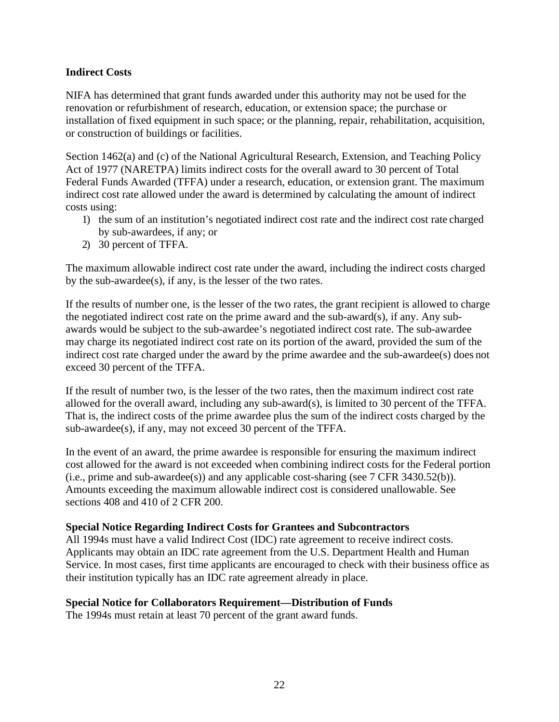#### **Indirect Costs**

NIFA has determined that grant funds awarded under this authority may not be used for the renovation or refurbishment of research, education, or extension space; the purchase or installation of fixed equipment in such space; or the planning, repair, rehabilitation, acquisition, or construction of buildings or facilities.

Section 1462(a) and (c) of the National Agricultural Research, Extension, and Teaching Policy Act of 1977 (NARETPA) limits indirect costs for the overall award to 30 percent of Total Federal Funds Awarded (TFFA) under a research, education, or extension grant. The maximum indirect cost rate allowed under the award is determined by calculating the amount of indirect costs using:

- 1) the sum of an institution's negotiated indirect cost rate and the indirect cost rate charged by sub-awardees, if any; or
- 2) 30 percent of TFFA.

The maximum allowable indirect cost rate under the award, including the indirect costs charged by the sub-awardee(s), if any, is the lesser of the two rates.

If the results of number one, is the lesser of the two rates, the grant recipient is allowed to charge the negotiated indirect cost rate on the prime award and the sub-award(s), if any. Any subawards would be subject to the sub-awardee's negotiated indirect cost rate. The sub-awardee may charge its negotiated indirect cost rate on its portion of the award, provided the sum of the indirect cost rate charged under the award by the prime awardee and the sub-awardee(s) does not exceed 30 percent of the TFFA.

If the result of number two, is the lesser of the two rates, then the maximum indirect cost rate allowed for the overall award, including any sub-award(s), is limited to 30 percent of the TFFA. That is, the indirect costs of the prime awardee plus the sum of the indirect costs charged by the sub-awardee(s), if any, may not exceed 30 percent of the TFFA.

In the event of an award, the prime awardee is responsible for ensuring the maximum indirect cost allowed for the award is not exceeded when combining indirect costs for the Federal portion (i.e., prime and sub-awardee(s)) and any applicable cost-sharing (see 7 CFR 3430.52(b)). Amounts exceeding the maximum allowable indirect cost is considered unallowable. See sections 408 and 410 of 2 CFR 200.

#### **Special Notice Regarding Indirect Costs for Grantees and Subcontractors**

All 1994s must have a valid Indirect Cost (IDC) rate agreement to receive indirect costs. Applicants may obtain an IDC rate agreement from the U.S. Department Health and Human Service. In most cases, first time applicants are encouraged to check with their business office as their institution typically has an IDC rate agreement already in place.

#### **Special Notice for Collaborators Requirement—Distribution of Funds**

The 1994s must retain at least 70 percent of the grant award funds.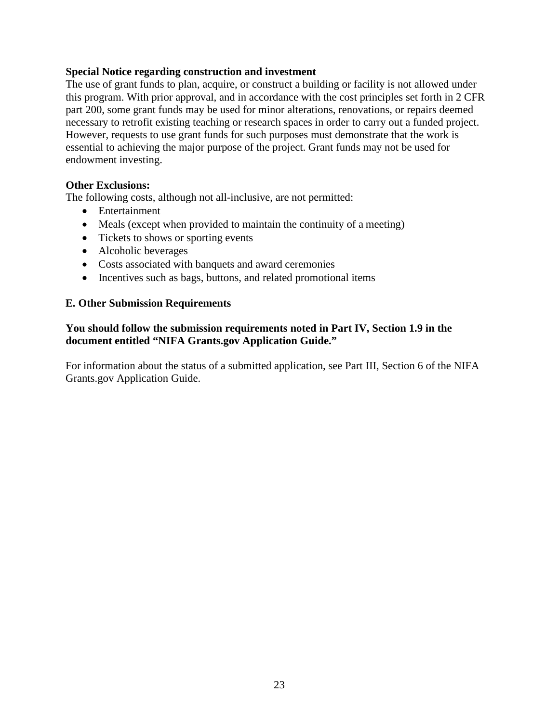#### **Special Notice regarding construction and investment**

The use of grant funds to plan, acquire, or construct a building or facility is not allowed under this program. With prior approval, and in accordance with the cost principles set forth in 2 CFR part 200, some grant funds may be used for minor alterations, renovations, or repairs deemed necessary to retrofit existing teaching or research spaces in order to carry out a funded project. However, requests to use grant funds for such purposes must demonstrate that the work is essential to achieving the major purpose of the project. Grant funds may not be used for endowment investing.

#### **Other Exclusions:**

The following costs, although not all-inclusive, are not permitted:

- Entertainment
- Meals (except when provided to maintain the continuity of a meeting)
- Tickets to shows or sporting events
- Alcoholic beverages
- Costs associated with banquets and award ceremonies
- Incentives such as bags, buttons, and related promotional items

#### <span id="page-22-0"></span>**E. Other Submission Requirements**

#### **You should follow the submission requirements noted in Part IV, Section 1.9 in the document entitled "NIFA Grants.gov Application Guide."**

For information about the status of a submitted application, see Part III, Section 6 of the NIFA Grants.gov Application Guide.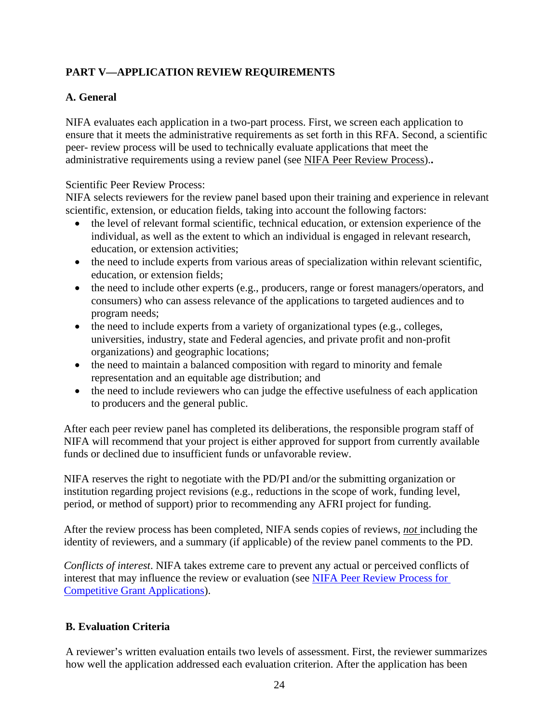# <span id="page-23-0"></span>**PART V—APPLICATION REVIEW REQUIREMENTS**

#### <span id="page-23-1"></span>**A. General**

NIFA evaluates each application in a two-part process. First, we screen each application to ensure that it meets the administrative requirements as set forth in this RFA. Second, a scientific peer- review process will be used to technically evaluate applications that meet the administrative requirements using a review panel (see [NIFA Peer Review Process\)](https://nifa.usda.gov/sites/default/files/resource/NIFA-Peer-Review-Process-for-Competitive-Grant-Applications_0.pdf).**.**

#### Scientific Peer Review Process:

NIFA selects reviewers for the review panel based upon their training and experience in relevant scientific, extension, or education fields, taking into account the following factors:

- the level of relevant formal scientific, technical education, or extension experience of the individual, as well as the extent to which an individual is engaged in relevant research, education, or extension activities;
- the need to include experts from various areas of specialization within relevant scientific, education, or extension fields;
- the need to include other experts (e.g., producers, range or forest managers/operators, and consumers) who can assess relevance of the applications to targeted audiences and to program needs;
- the need to include experts from a variety of organizational types (e.g., colleges, universities, industry, state and Federal agencies, and private profit and non-profit organizations) and geographic locations;
- the need to maintain a balanced composition with regard to minority and female representation and an equitable age distribution; and
- the need to include reviewers who can judge the effective usefulness of each application to producers and the general public.

After each peer review panel has completed its deliberations, the responsible program staff of NIFA will recommend that your project is either approved for support from currently available funds or declined due to insufficient funds or unfavorable review.

NIFA reserves the right to negotiate with the PD/PI and/or the submitting organization or institution regarding project revisions (e.g., reductions in the scope of work, funding level, period, or method of support) prior to recommending any AFRI project for funding.

After the review process has been completed, NIFA sends copies of reviews, *not* including the identity of reviewers, and a summary (if applicable) of the review panel comments to the PD.

*Conflicts of interest*. NIFA takes extreme care to prevent any actual or perceived conflicts of interest that may influence the review or evaluation (see [NIFA Peer Review Process for](https://nifa.usda.gov/resource/nifa-peer-review-process-competitive-grant-applications)  [Competitive Grant Applications\)](https://nifa.usda.gov/resource/nifa-peer-review-process-competitive-grant-applications).

#### <span id="page-23-2"></span>**B. Evaluation Criteria**

A reviewer's written evaluation entails two levels of assessment. First, the reviewer summarizes how well the application addressed each evaluation criterion. After the application has been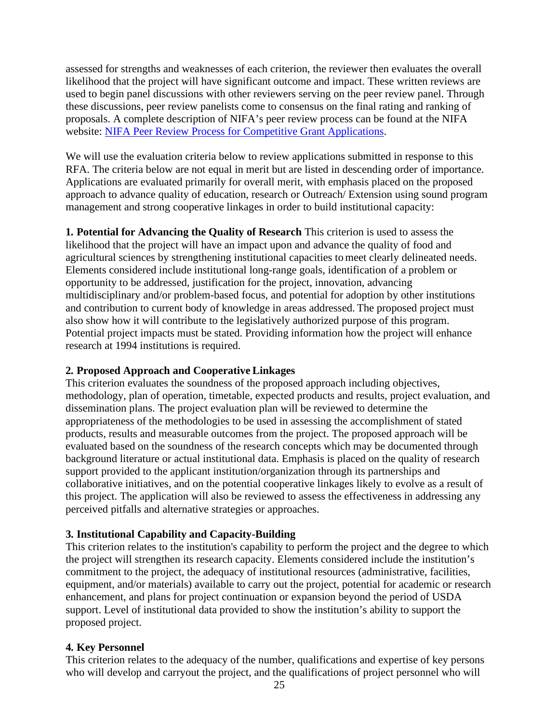assessed for strengths and weaknesses of each criterion, the reviewer then evaluates the overall likelihood that the project will have significant outcome and impact. These written reviews are used to begin panel discussions with other reviewers serving on the peer review panel. Through these discussions, peer review panelists come to consensus on the final rating and ranking of proposals. A complete description of NIFA's peer review process can be found at the NIFA website: [NIFA Peer Review Process for Competitive Grant Applications.](https://nifa.usda.gov/sites/default/files/resource/NIFA-Peer-Review-Process-for-Competitive-Grant-Applications_0.pdf)

We will use the evaluation criteria below to review applications submitted in response to this RFA. The criteria below are not equal in merit but are listed in descending order of importance. Applications are evaluated primarily for overall merit, with emphasis placed on the proposed approach to advance quality of education, research or Outreach/ Extension using sound program management and strong cooperative linkages in order to build institutional capacity:

**1. Potential for Advancing the Quality of Research** This criterion is used to assess the likelihood that the project will have an impact upon and advance the quality of food and agricultural sciences by strengthening institutional capacities tomeet clearly delineated needs. Elements considered include institutional long-range goals, identification of a problem or opportunity to be addressed, justification for the project, innovation, advancing multidisciplinary and/or problem-based focus, and potential for adoption by other institutions and contribution to current body of knowledge in areas addressed. The proposed project must also show how it will contribute to the legislatively authorized purpose of this program. Potential project impacts must be stated. Providing information how the project will enhance research at 1994 institutions is required.

#### **2. Proposed Approach and Cooperative Linkages**

This criterion evaluates the soundness of the proposed approach including objectives, methodology, plan of operation, timetable, expected products and results, project evaluation, and dissemination plans. The project evaluation plan will be reviewed to determine the appropriateness of the methodologies to be used in assessing the accomplishment of stated products, results and measurable outcomes from the project. The proposed approach will be evaluated based on the soundness of the research concepts which may be documented through background literature or actual institutional data. Emphasis is placed on the quality of research support provided to the applicant institution/organization through its partnerships and collaborative initiatives, and on the potential cooperative linkages likely to evolve as a result of this project. The application will also be reviewed to assess the effectiveness in addressing any perceived pitfalls and alternative strategies or approaches.

#### **3. Institutional Capability and Capacity-Building**

This criterion relates to the institution's capability to perform the project and the degree to which the project will strengthen its research capacity. Elements considered include the institution's commitment to the project, the adequacy of institutional resources (administrative, facilities, equipment, and/or materials) available to carry out the project, potential for academic or research enhancement, and plans for project continuation or expansion beyond the period of USDA support. Level of institutional data provided to show the institution's ability to support the proposed project.

#### **4. Key Personnel**

This criterion relates to the adequacy of the number, qualifications and expertise of key persons who will develop and carryout the project, and the qualifications of project personnel who will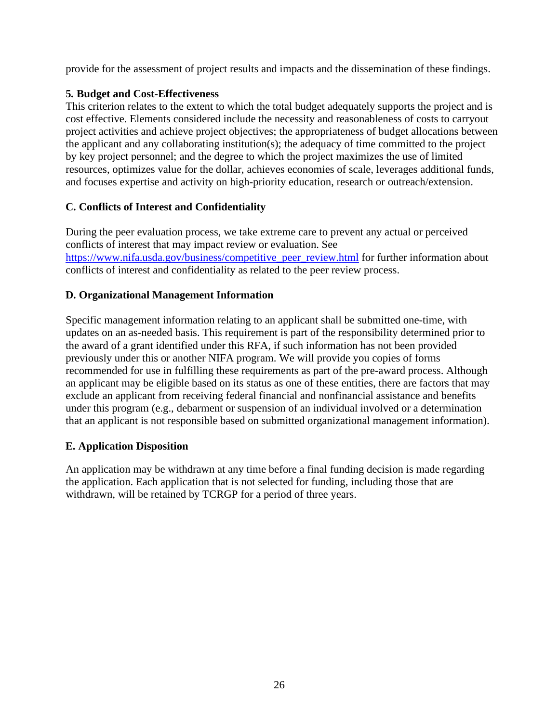provide for the assessment of project results and impacts and the dissemination of these findings.

### **5. Budget and Cost-Effectiveness**

This criterion relates to the extent to which the total budget adequately supports the project and is cost effective. Elements considered include the necessity and reasonableness of costs to carryout project activities and achieve project objectives; the appropriateness of budget allocations between the applicant and any collaborating institution(s); the adequacy of time committed to the project by key project personnel; and the degree to which the project maximizes the use of limited resources, optimizes value for the dollar, achieves economies of scale, leverages additional funds, and focuses expertise and activity on high-priority education, research or outreach/extension.

### <span id="page-25-0"></span>**C. Conflicts of Interest and Confidentiality**

During the peer evaluation process, we take extreme care to prevent any actual or perceived conflicts of interest that may impact review or evaluation. See [https://www.nifa.usda.gov/business/competitive\\_peer\\_review.html](https://www.nifa.usda.gov/business/competitive_peer_review.html) for further information about conflicts of interest and confidentiality as related to the peer review process.

### <span id="page-25-1"></span>**D. Organizational Management Information**

Specific management information relating to an applicant shall be submitted one-time, with updates on an as-needed basis. This requirement is part of the responsibility determined prior to the award of a grant identified under this RFA, if such information has not been provided previously under this or another NIFA program. We will provide you copies of forms recommended for use in fulfilling these requirements as part of the pre-award process. Although an applicant may be eligible based on its status as one of these entities, there are factors that may exclude an applicant from receiving federal financial and nonfinancial assistance and benefits under this program (e.g., debarment or suspension of an individual involved or a determination that an applicant is not responsible based on submitted organizational management information).

#### <span id="page-25-2"></span>**E. Application Disposition**

An application may be withdrawn at any time before a final funding decision is made regarding the application. Each application that is not selected for funding, including those that are withdrawn, will be retained by TCRGP for a period of three years.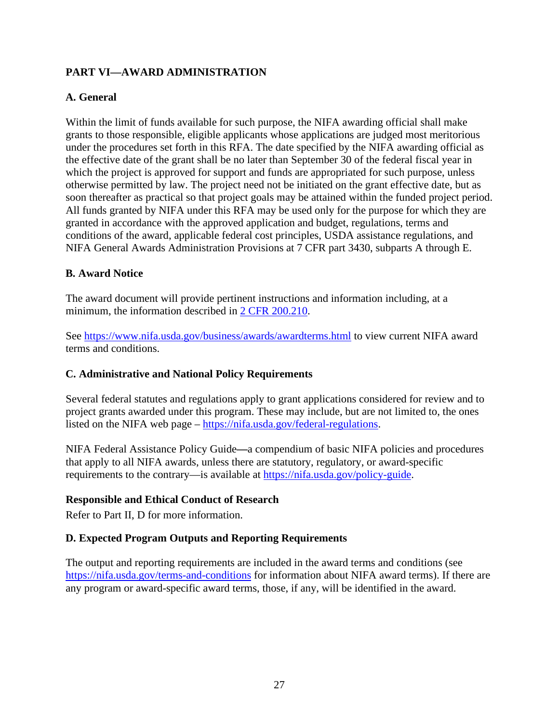# <span id="page-26-0"></span>**PART VI—AWARD ADMINISTRATION**

#### <span id="page-26-1"></span>**A. General**

Within the limit of funds available for such purpose, the NIFA awarding official shall make grants to those responsible, eligible applicants whose applications are judged most meritorious under the procedures set forth in this RFA. The date specified by the NIFA awarding official as the effective date of the grant shall be no later than September 30 of the federal fiscal year in which the project is approved for support and funds are appropriated for such purpose, unless otherwise permitted by law. The project need not be initiated on the grant effective date, but as soon thereafter as practical so that project goals may be attained within the funded project period. All funds granted by NIFA under this RFA may be used only for the purpose for which they are granted in accordance with the approved application and budget, regulations, terms and conditions of the award, applicable federal cost principles, USDA assistance regulations, and NIFA General Awards Administration Provisions at 7 CFR part 3430, subparts A through E.

#### <span id="page-26-2"></span>**B. Award Notice**

The award document will provide pertinent instructions and information including, at a minimum, the information described in [2 CFR 200.210.](http://www.ecfr.gov/cgi-bin/text-idx?SID=70b44cfc44976f4a7742464f7cfbb37e&mc=true&node=se2.1.200_1210&rgn=div8)

See<https://www.nifa.usda.gov/business/awards/awardterms.html> to view current NIFA award terms and conditions.

#### <span id="page-26-3"></span>**C. Administrative and National Policy Requirements**

Several federal statutes and regulations apply to grant applications considered for review and to project grants awarded under this program. These may include, but are not limited to, the ones listed on the NIFA web page – [https://nifa.usda.gov/federal-regulations.](https://nifa.usda.gov/federal-regulations)

NIFA Federal Assistance Policy Guide**—**a compendium of basic NIFA policies and procedures that apply to all NIFA awards, unless there are statutory, regulatory, or award-specific requirements to the contrary—is available at [https://nifa.usda.gov/policy-guide.](https://nifa.usda.gov/policy-guide)

#### **Responsible and Ethical Conduct of Research**

<span id="page-26-4"></span>Refer to Part II, D for more information.

#### **D. Expected Program Outputs and Reporting Requirements**

The output and reporting requirements are included in the award terms and conditions (see <https://nifa.usda.gov/terms-and-conditions> for information about NIFA award terms). If there are any program or award-specific award terms, those, if any, will be identified in the award.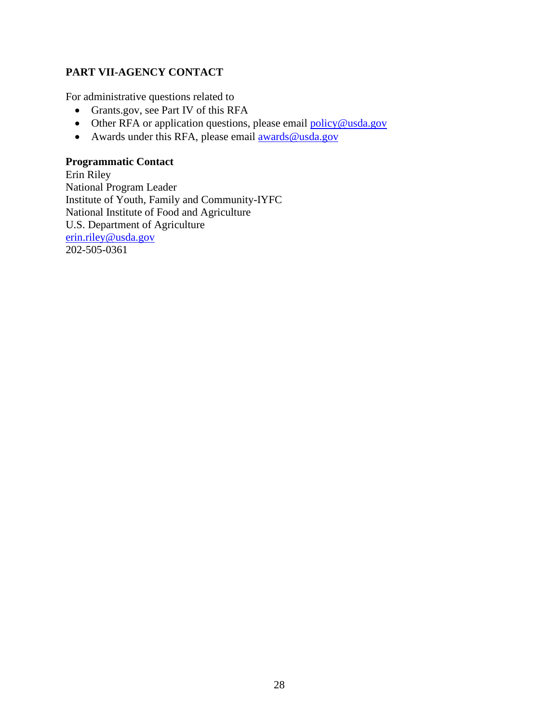# <span id="page-27-0"></span>**PART VII-AGENCY CONTACT**

For administrative questions related to

- Grants.gov, see Part IV of this RFA
- Other RFA or application questions, please email [policy@usda.gov](mailto:policy@usda.gov)
- Awards under this RFA, please email [awards@usda.gov](mailto:awards@usda.gov)

#### **Programmatic Contact**

Erin Riley National Program Leader Institute of Youth, Family and Community-IYFC National Institute of Food and Agriculture U.S. Department of Agriculture [erin.riley@usda.gov](mailto:erin.riley@usda.gov) 202-505-0361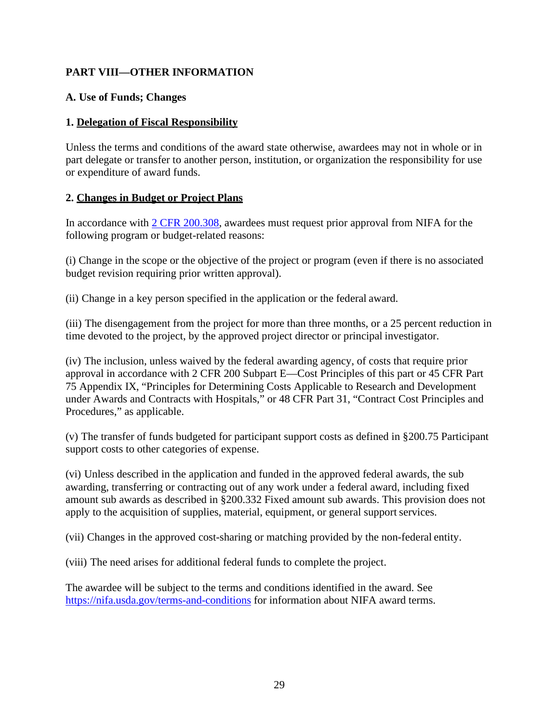# <span id="page-28-0"></span>**PART VIII—OTHER INFORMATION**

#### <span id="page-28-1"></span>**A. Use of Funds; Changes**

#### **1. Delegation of Fiscal Responsibility**

Unless the terms and conditions of the award state otherwise, awardees may not in whole or in part delegate or transfer to another person, institution, or organization the responsibility for use or expenditure of award funds.

### **2. Changes in Budget or Project Plans**

In accordance with [2 CFR 200.308,](http://www.ecfr.gov/cgi-bin/text-idx?SID=3af89506559b05297e7d0334cb283e24&mc=true&node=se2.1.200_1308&rgn=div8) awardees must request prior approval from NIFA for the following program or budget-related reasons:

(i) Change in the scope or the objective of the project or program (even if there is no associated budget revision requiring prior written approval).

(ii) Change in a key person specified in the application or the federal award.

(iii) The disengagement from the project for more than three months, or a 25 percent reduction in time devoted to the project, by the approved project director or principal investigator.

(iv) The inclusion, unless waived by the federal awarding agency, of costs that require prior approval in accordance with 2 CFR 200 Subpart E—Cost Principles of this part or 45 CFR Part 75 Appendix IX, "Principles for Determining Costs Applicable to Research and Development under Awards and Contracts with Hospitals," or 48 CFR Part 31, "Contract Cost Principles and Procedures," as applicable.

(v) The transfer of funds budgeted for participant support costs as defined in §200.75 Participant support costs to other categories of expense.

(vi) Unless described in the application and funded in the approved federal awards, the sub awarding, transferring or contracting out of any work under a federal award, including fixed amount sub awards as described in §200.332 Fixed amount sub awards. This provision does not apply to the acquisition of supplies, material, equipment, or general support services.

(vii) Changes in the approved cost-sharing or matching provided by the non-federal entity.

(viii) The need arises for additional federal funds to complete the project.

The awardee will be subject to the terms and conditions identified in the award. See <https://nifa.usda.gov/terms-and-conditions> for information about NIFA award terms.